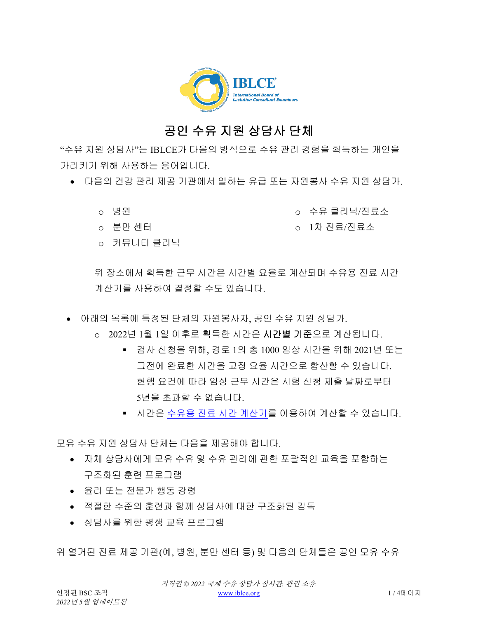

## 공인 수유 지원 상담사 단체

"수유 지원 상담사"는 IBLCE가 다음의 방식으로 수유 관리 경험을 획득하는 개인을 가리키기 위해 사용하는 용어입니다.

- 다음의 건강 관리 제공 기관에서 일하는 유급 또는 자원봉사 수유 지원 상담가.
	- o 병원

o 수유 클리닉/진료소

- o 분만 센터
- o 커뮤니티 클리닉

o 1차 진료/진료소

위 장소에서 획득한 근무 시간은 시간별 요율로 계산되며 수유용 진료 시간 계산기를 사용하여 결정할 수도 있습니다.

- 아래의 목록에 특정된 단체의 자원봉사자, 공인 수유 지원 상담가.
	- o 2022년 1월 1일 이후로 획득한 시간은 시간별 기준으로 계산됩니다.
		- 검사 신청을 위해, 경로 1의 총 1000 임상 시간을 위해 2021년 또는 그전에 완료한 시간을 고정 요율 시간으로 합산할 수 있습니다. 현행 요건에 따라 임상 근무 시간은 시험 신청 제출 날짜로부터 5년을 초과할 수 없습니다.
		- 시간은 수유용 진료 시간 [계산기를](https://iblce.org/wp-content/uploads/2019/12/September_2019_FINAL_Lactation-Specific-Clinical-Practice-Calculator-1_KOREAN.xlsx) 이용하여 계산할 수 있습니다.

모유 수유 지원 상담사 단체는 다음을 제공해야 합니다.

- 자체 상담사에게 모유 수유 및 수유 관리에 관한 포괄적인 교육을 포함하는 구조화된 훈련 프로그램
- 윤리 또는 전문가 행동 강령
- 적절한 수준의 훈련과 함께 상담사에 대한 구조화된 감독
- 상담사를 위한 평생 교육 프로그램

위 열거된 진료 제공 기관(예, 병원, 분만 센터 등) 및 다음의 단체들은 공인 모유 수유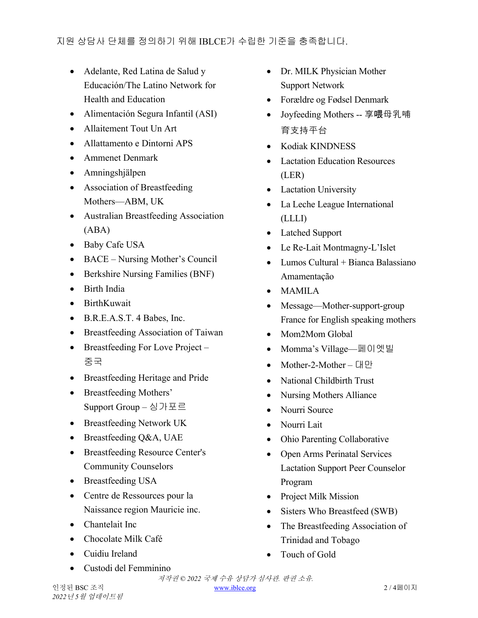- Adelante, Red Latina de Salud y Educación/The Latino Network for Health and Education
- Alimentación Segura Infantil (ASI)
- Allaitement Tout Un Art
- Allattamento e Dintorni APS
- Ammenet Denmark
- Amningshjälpen
- Association of Breastfeeding Mothers—ABM, UK
- Australian Breastfeeding Association (ABA)
- Baby Cafe USA
- BACE Nursing Mother's Council
- Berkshire Nursing Families (BNF)
- Birth India
- BirthKuwait
- B.R.E.A.S.T. 4 Babes, Inc.
- Breastfeeding Association of Taiwan
- Breastfeeding For Love Project 중국
- Breastfeeding Heritage and Pride
- Breastfeeding Mothers' Support Group – 싱가포르
- Breastfeeding Network UK
- Breastfeeding Q&A, UAE
- Breastfeeding Resource Center's Community Counselors
- Breastfeeding USA
- Centre de Ressources pour la Naissance region Mauricie inc.
- Chantelait Inc
- Chocolate Milk Café
- Cuidiu Ireland
- Custodi del Femminino
- Dr. MILK Physician Mother Support Network
- Forældre og Fødsel Denmark
- Joyfeeding Mothers -- 享喂母乳哺 育支持平台
- Kodiak KINDNESS
- Lactation Education Resources (LER)
- Lactation University
- La Leche League International (LLLI)
- Latched Support
- Le Re-Lait Montmagny-L'Islet
- $\bullet$  Lumos Cultural + Bianca Balassiano Amamentação
- MAMILA
- Message—Mother-support-group France for English speaking mothers
- Mom2Mom Global
- Momma's Village—페이엣빌
- Mother-2-Mother 대만
- National Childbirth Trust
- Nursing Mothers Alliance
- Nourri Source
- Nourri Lait
- Ohio Parenting Collaborative
- Open Arms Perinatal Services Lactation Support Peer Counselor Program
- Project Milk Mission
- Sisters Who Breastfeed (SWB)
- The Breastfeeding Association of Trinidad and Tobago
- Touch of Gold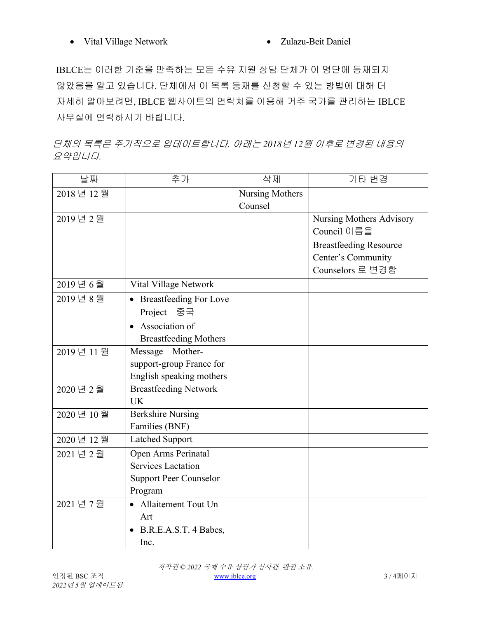IBLCE는 이러한 기준을 만족하는 모든 수유 지원 상담 단체가 이 명단에 등재되지 않았음을 알고 있습니다. 단체에서 이 목록 등재를 신청할 수 있는 방법에 대해 더 자세히 알아보려면, IBLCE 웹사이트의 연락처를 이용해 거주 국가를 관리하는 IBLCE 사무실에 연락하시기 바랍니다.

단체의 목록은 주기적으로 업데이트합니다*.* 아래는 *2018*년 *12*월 이후로 변경된 내용의 요약입니다*.*

| 날짜          | 추가                            | 삭제              | 기타 변경                         |
|-------------|-------------------------------|-----------------|-------------------------------|
| 2018년 12월   |                               | Nursing Mothers |                               |
|             |                               | Counsel         |                               |
| 2019년 2월    |                               |                 | Nursing Mothers Advisory      |
|             |                               |                 | Council 이름을                   |
|             |                               |                 | <b>Breastfeeding Resource</b> |
|             |                               |                 | Center's Community            |
|             |                               |                 | Counselors 로 변경함              |
| 2019년6월     | Vital Village Network         |                 |                               |
| 2019년8월     | • Breastfeeding For Love      |                 |                               |
|             | Project – 중국                  |                 |                               |
|             | • Association of              |                 |                               |
|             | <b>Breastfeeding Mothers</b>  |                 |                               |
| 2019년 11월   | Message-Mother-               |                 |                               |
|             | support-group France for      |                 |                               |
|             | English speaking mothers      |                 |                               |
| 2020 년 2월   | <b>Breastfeeding Network</b>  |                 |                               |
|             | <b>UK</b>                     |                 |                               |
| 2020 년 10 월 | <b>Berkshire Nursing</b>      |                 |                               |
|             | Families (BNF)                |                 |                               |
| 2020 년 12월  | <b>Latched Support</b>        |                 |                               |
| 2021 년 2월   | Open Arms Perinatal           |                 |                               |
|             | <b>Services Lactation</b>     |                 |                               |
|             | <b>Support Peer Counselor</b> |                 |                               |
|             | Program                       |                 |                               |
| 2021 년 7월   | • Allaitement Tout Un         |                 |                               |
|             | Art                           |                 |                               |
|             | B.R.E.A.S.T. 4 Babes,         |                 |                               |
|             | Inc.                          |                 |                               |